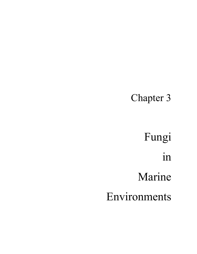## Chapter 3

Fungi in Marine

Environments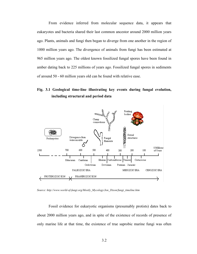From evidence inferred from molecular sequence data, it appears that eukaryotes and bacteria shared their last common ancestor around 2000 million years ago. Plants, animals and fungi then began to diverge from one another in the region of 1000 million years ago. The divergence of animals from fungi has been estimated at 965 million years ago. The oldest known fossilized fungal spores have been found in amber dating back to 225 millions of years ago. Fossilized fungal spores in sediments of around 50 - 60 million years old can be found with relative ease.

#### **Fig. 3.1 Geological time-line illustrating key events during fungal evolution, including structural and period data**



*Source: http://www.world-of-fungi.org/Mostly\_Mycology/Jon\_Dixon/fungi\_timeline.htm* 

Fossil evidence for eukaryotic organisms (presumably protists) dates back to about 2000 million years ago, and in spite of the existence of records of presence of only marine life at that time, the existence of true saprobic marine fungi was often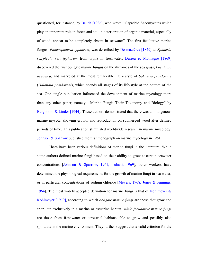questioned, for instance, by Bauch [1936], who wrote: "Saprobic Ascomycetes which play an important role in forest and soil in deterioration of organic material, especially of wood, appear to be completely absent in seawater". The first facultative marine fungus, *Phaeosphaeria typharum*, was described by Desmazières [1849] as *Sphaeria scirpicola* var. *typharum* from typha in freshwater. Durieu & Montagne [1869] discovered the first obligate marine fungus on the rhizomes of the sea grass, *Posidonia oceanica*, and marveled at the most remarkable life - style of *Sphaeria posidoniae* (*Halotthia posidoniae*), which spends all stages of its life-style at the bottom of the sea. One single publication influenced the development of marine mycology more than any other paper, namely, "Marine Fungi: Their Taxonomy and Biology" by Barghoorn & Linder [1944]. These authors demonstrated that there was an indigenous marine mycota, showing growth and reproduction on submerged wood after defined periods of time. This publication stimulated worldwide research in marine mycology. Johnson & Sparrow published the first monograph on marine mycology in 1961.

There have been various definitions of marine fungi in the literature. While some authors defined marine fungi based on their ability to grow at certain seawater concentrations [Johnson & Sparrow, 1961; Tubaki, 1969], other workers have determined the physiological requirements for the growth of marine fungi in sea water, or in particular concentrations of sodium chloride [Meyers, 1968; Jones & Jennings, 1964]. The most widely accepted definition for marine fungi is that of Kohlmeyer  $\&$ Kohlmeyer [1979], according to which *obligate marine fungi* are those that grow and sporulate exclusively in a marine or estuarine habitat; *while facultative marine fungi* are those from freshwater or terrestrial habitats able to grow and possibly also sporulate in the marine environment. They further suggest that a valid criterion for the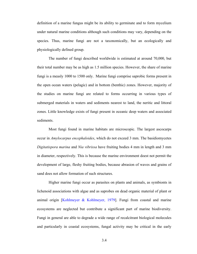definition of a marine fungus might be its ability to germinate and to form mycelium under natural marine conditions although such conditions may vary, depending on the species. Thus, marine fungi are not a taxonomically, but an ecologically and physiologically defined group.

The number of fungi described worldwide is estimated at around 70,000, but their total number may be as high as 1.5 million species. However, the share of marine fungi is a measly 1000 to 1500 only. Marine fungi comprise saprobic forms present in the open ocean waters (pelagic) and in bottom (benthic) zones. However, majority of the studies on marine fungi are related to forms occurring in various types of submerged materials in waters and sediments nearest to land, the neritic and littoral zones. Little knowledge exists of fungi present in oceanic deep waters and associated sediments.

 Most fungi found in marine habitats are microscopic. The largest ascocarps occur in *Amylocarpus encephaloides*, which do not exceed 3 mm. The basidiomycetes *Digitatispora marina* and *Nia vibrissa* have fruiting bodies 4 mm in length and 3 mm in diameter, respectively. This is because the marine environment doest not permit the development of large, fleshy fruiting bodies, because abrasion of waves and grains of sand does not allow formation of such structures.

Higher marine fungi occur as parasites on plants and animals, as symbionts in lichenoid associations with algae and as saprobes on dead organic material of plant or animal origin [Kohlmeyer & Kohlmeyer, 1979]. Fungi from coastal and marine ecosystems are neglected but contribute a significant part of marine biodiversity. Fungi in general are able to degrade a wide range of recalcitrant biological molecules and particularly in coastal ecosystems, fungal activity may be critical in the early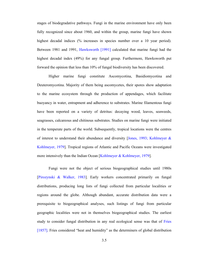stages of biodegradative pathways. Fungi in the marine environment have only been fully recognized since about 1960, and within the group, marine fungi have shown highest decadal indices (% increases in species number over a 10 year period). Between 1981 and 1991, Hawksworth [1991] calculated that marine fungi had the highest decadal index (49%) for any fungal group. Furthermore, Hawksworth put forward the opinion that less than 10% of fungal biodiversity has been discovered.

Higher marine fungi constitute Ascomycotina, Basidiomycotina and Deuteromycotina. Majority of them being ascomycetes, their spores show adaptation to the marine ecosystem through the production of appendages, which facilitate buoyancy in water, entrapment and adherence to substrates. Marine filamentous fungi have been reported on a variety of detritus: decaying wood, leaves, seaweeds, seagrasses, calcareous and chitinous substrates. Studies on marine fungi were initiated in the temperate parts of the world. Subsequently, tropical locations were the centres of interest to understand their abundance and diversity [Jones, 1993; Kohlmeyer & Kohlmeyer, 1979]. Tropical regions of Atlantic and Pacific Oceans were investigated more intensively than the Indian Ocean [Kohlmeyer & Kohlmeyer, 1979].

 Fungi were not the object of serious biogeographical studies until 1980s [Pirozynski & Walker, 1983]. Early workers concentrated primarily on fungal distributions, producing long lists of fungi collected from particular localities or regions around the globe. Although abundant, accurate distribution data were a prerequisite to biogeographical analyses, such listings of fungi from particular geographic localities were not in themselves biogeographical studies. The earliest study to consider fungal distribution in any real ecological sense was that of Fries [1857]. Fries considered "heat and humidity" as the determiners of global distribution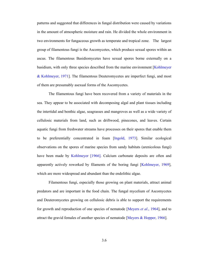patterns and suggested that differences in fungal distribution were caused by variations in the amount of atmospheric moisture and rain. He divided the whole environment in two environments for fungaceous growth as temperate and tropical zone. The largest group of filamentous fungi is the Ascomycetes, which produce sexual spores within an ascus. The filamentous Basidiomycetes have sexual spores borne externally on a basidium, with only three species described from the marine environment [Kohlmeyer & Kohlmeyer, 1971]. The filamentous Deuteromycetes are imperfect fungi, and most of them are presumably asexual forms of the Ascomycetes.

The filamentous fungi have been recovered from a variety of materials in the sea. They appear to be associated with decomposing algal and plant tissues including the intertidal and benthic algae, seagrasses and mangroves as well as a wide variety of cellulosic materials from land, such as driftwood, pinecones, and leaves. Certain aquatic fungi from freshwater streams have processes on their spores that enable them to be preferentially concentrated in foam [Ingold, 1973]. Similar ecological observations on the spores of marine species from sandy habitats (arenicolous fungi) have been made by Kohlmeyer [1966]. Calcium carbonate deposits are often and apparently actively reworked by filaments of the boring fungi [Kohlmeyer, 1969], which are more widespread and abundant than the endolithic algae.

Filamentous fungi, especially those growing on plant materials, attract animal predators and are important in the food chain. The fungal mycelium of Ascomycetes and Deuteromycetes growing on cellulosic debris is able to support the requirements for growth and reproduction of one species of nematode [Meyers *et al*., 1964], and to attract the gravid females of another species of nematode [Meyers & Hopper, 1966].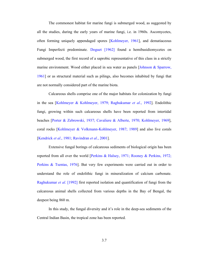The commonest habitat for marine fungi is submerged wood, as suggested by all the studies, during the early years of marine fungi, i.e. in 1960s. Ascomycetes, often forming uniquely appendaged spores [Kohlmeyer, 1961], and dematiaceous Fungi Imperfecti predominate. Doguet [1962] found a hemibasidiomycetes on submerged wood, the first record of a saprobic representative of this class in a strictly marine environment. Wood either placed in sea water as panels [Johnson & Sparrow, 1961] or as structural material such as pilings, also becomes inhabited by fungi that are not normally considered part of the marine biota.

Calcareous shells comprise one of the major habitats for colonization by fungi in the sea [Kohlmeyer & Kohlmeyer, 1979; Raghukumar *et al*., 1992]. Endolithic fungi, growing within such calcareous shells have been reported from intertidal beaches [Porter & Zebrowski, 1937; Cavaliere & Alberte, 1970; Kohlmeyer, 1969], coral rocks [Kohlmeyer & Volkmann-Kohlmeyer, 1987; 1989] and also live corals [Kendrick *et al*., 1981; Ravindran *et al*., 2001].

Extensive fungal borings of calcareous sediments of biological origin has been reported from all over the world [Perkins & Halsey, 1971; Rooney & Perkins, 1972; Perkins & Tsentas, 1976]. But very few experiments were carried out in order to understand the role of endolithic fungi in mineralization of calcium carbonate. Raghukumar *et al*. [1992] first reported isolation and quantification of fungi from the calcareous animal shells collected from various depths in the Bay of Bengal, the deepest being 860 m.

In this study, the fungal diversity and it's role in the deep-sea sediments of the Central Indian Basin, the tropical zone has been reported.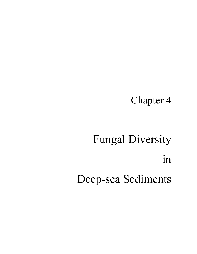## Chapter 4

# Fungal Diversity in Deep-sea Sediments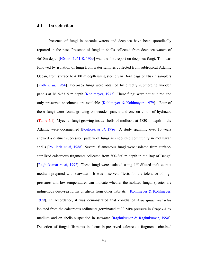#### **4.1 Introduction**

Presence of fungi in oceanic waters and deep-sea have been sporadically reported in the past. Presence of fungi in shells collected from deep-sea waters of 4610m depth [Höhnk, 1961 & 1969] was the first report on deep-sea fungi. This was followed by isolation of fungi from water samples collected from subtropical Atlantic Ocean, from surface to 4500 m depth using sterile van Dorn bags or Niskin samplers [Roth *et al*, 1964]. Deep-sea fungi were obtained by directly submerging wooden panels at 1615-5315 m depth [Kohlmeyer, 1977]. These fungi were not cultured and only preserved specimens are available [Kohlmeyer & Kohlmeyer, 1979]. Four of these fungi were found growing on wooden panels and one on chitin of hydrozoa (Table 4.1). Mycelial fungi growing inside shells of mollusks at 4830 m depth in the Atlantic were documented [Poulicek *et al*, 1986]. A study spanning over 10 years showed a distinct succession pattern of fungi as endolithic community in molluskan shells [Poulicek *et al*, 1988]. Several filamentous fungi were isolated from surfacesterilized calcareous fragments collected from 300-860 m depth in the Bay of Bengal [Raghukumar *et al*, 1992]. These fungi were isolated using 1/5 diluted malt extract medium prepared with seawater. It was observed, "tests for the tolerance of high pressures and low temperatures can indicate whether the isolated fungal species are indigenous deep-sea forms or aliens from other habitats" [Kohlmeyer & Kohlmeyer, 1979]. In accordance, it was demonstrated that conidia of *Aspergillus restrictus* isolated from the calcareous sediments germinated at 30 MPa pressure in Czapek-Dox medium and on shells suspended in seawater [Raghukumar & Raghukumar, 1998]. Detection of fungal filaments in formalin-preserved calcareous fragments obtained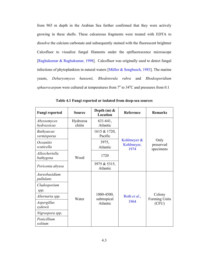from 965 m depth in the Arabian Sea further confirmed that they were actively growing in these shells. These calcareous fragments were treated with EDTA to dissolve the calcium carbonate and subsequently stained with the fluorescent brightner Calcofluor to visualize fungal filaments under the epifluorescence microscope [Raghukumar & Raghukumar, 1998]. Calcofluor was originally used to detect fungal infections of phytoplankton in natural waters [Müller & Sengbusch, 1983]. The marine yeasts, *Debaryomyces hansenii, Rhodotorula rubra* and *Rhodosporidium*  sphaerocarpum were cultured at temperatures from  $7^{\circ}$  to  $34^{\circ}$ C and pressures from 0.1

| <b>Fungi reported</b>                 | <b>Source</b>      | Depth $(m)$ &<br>Location | Reference                         | <b>Remarks</b>                 |  |  |
|---------------------------------------|--------------------|---------------------------|-----------------------------------|--------------------------------|--|--|
| Abyssomyces<br>hydrozoicus            | Hydrozoa<br>chitin | 631-641,<br>Atlantic      |                                   |                                |  |  |
| <b>Bathyascus</b><br>vermisporus      |                    | 1615 & 1720,<br>Pacific   |                                   |                                |  |  |
| <i><b>Oceanitis</b></i><br>scuticella |                    | 3975,<br>Atlantic         | Kohlmeyer &<br>Kohlmeyer,<br>1974 | Only<br>preserved<br>specimens |  |  |
| Allescheriella<br>bathygena           | Wood               | 1720                      |                                   |                                |  |  |
| Periconia abyssa                      |                    | 3975 & 5315,<br>Atlantic  |                                   |                                |  |  |
| Aureobasidium<br>pullulans            |                    |                           |                                   |                                |  |  |
| Cladosporium<br>spp.                  |                    |                           |                                   |                                |  |  |
| Alternaria spp.                       | Water              | 1000-4500,<br>subtropical | Roth et al.,                      | Colony<br>Forming Units        |  |  |
| Aspergillus<br>sydowii                |                    | Atlantic                  | 1964                              | (CFU)                          |  |  |
| Nigrospora spp.                       |                    |                           |                                   |                                |  |  |
| Penicillium<br>solitum                |                    |                           |                                   |                                |  |  |

**Table 4.1 Fungi reported or isolated from deep-sea sources**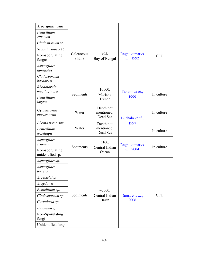| Aspergillus ustus                   |                      |                                     |                            |            |  |
|-------------------------------------|----------------------|-------------------------------------|----------------------------|------------|--|
| Penicillium<br>citrinum             |                      |                                     |                            |            |  |
| Cladosporium sp.                    |                      |                                     |                            |            |  |
| Scopulariopsis sp.                  |                      |                                     |                            |            |  |
| Non-sporulating<br>fungus           | Calcareous<br>shells | 965,<br>Bay of Bengal               | Raghukumar et<br>al., 1992 | <b>CFU</b> |  |
| Aspergillus<br>fumigatus            |                      |                                     |                            |            |  |
| Cladosporium<br>herbarum            |                      |                                     |                            |            |  |
| Rhodotorula<br>mucilaginosa         | Sediments            | 10500,                              | Takami et al.,             | In culture |  |
| Penicillium<br>lagena               |                      | Mariana<br>Trench                   | 1999                       |            |  |
| Gymnascella<br>marismortui          | Water                | Depth not<br>mentioned,<br>Dead Sea | Buchalo et al.,            | In culture |  |
| Phoma pomorum                       |                      | Depth not                           | 1997                       |            |  |
| Penicillium<br>westlingii           | Water                | mentioned,<br>Dead Sea              |                            | In culture |  |
| Aspergillus<br>sydowii              | Sediments            | 5100,                               | Raghukumar et              |            |  |
| Non-sporulating<br>unidentified sp. |                      | Central Indian<br>Ocean             | al., 2004                  | In culture |  |
| Aspergillus sp.                     |                      |                                     |                            |            |  |
| Aspergillus<br>terreus              |                      |                                     |                            |            |  |
| A. restrictus                       |                      |                                     |                            |            |  |
| A. sydowii                          |                      |                                     |                            |            |  |
| Penicillium sp.                     |                      | ~1000,                              |                            |            |  |
| Cladosporium sp.                    | Sediments            | Central Indian                      | Damare et al.,             | <b>CFU</b> |  |
| Curvularia sp.                      |                      | <b>Basin</b>                        | 2006                       |            |  |
| Fusarium sp.                        |                      |                                     |                            |            |  |
| Non-Sporulating<br>fungi            |                      |                                     |                            |            |  |
| Unidentified fungi                  |                      |                                     |                            |            |  |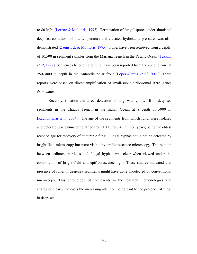to 80 MPa [Lorenz & Molitoris, 1997]. Germination of fungal spores under simulated deep-sea conditions of low temperature and elevated hydrostatic pressures was also demonstrated [Zaunstöck & Molitoris, 1995]. Fungi have been retrieved from a depth of 10,500 m sediment samples from the Mariana Trench in the Pacific Ocean [Takami *et al*, 1997]. Sequences belonging to fungi have been reported from the aphotic zone at 250-3000 m depth in the Antarctic polar front [Lopez-Garcia *et al*, 2001]. These reports were based on direct amplification of small-subunit ribosomal RNA genes from water.

 Recently, isolation and direct detection of fungi was reported from deep-sea sediments in the Chagos Trench in the Indian Ocean at a depth of 5900 m [Raghukumar *et al*, 2004]. The age of the sediments from which fungi were isolated and detected was estimated to range from >0.18 to 0.43 million years, being the oldest recoded age for recovery of culturable fungi. Fungal hyphae could not be detected by bright field microscopy but were visible by epifluorescence microscopy. The relation between sediment particles and fungal hyphae was clear when viewed under the combination of bright field and epifluorescence light. These studies indicated that presence of fungi in deep-sea sediments might have gone undetected by conventional microscopy. This chronology of the events in the research methodologies and strategies clearly indicates the increasing attention being paid to the presence of fungi in deep-sea.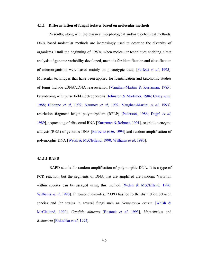#### **4.1.1 Differentiation of fungal isolates based on molecular methods**

Presently, along with the classical morphological and/or biochemical methods, DNA based molecular methods are increasingly used to describe the diversity of organisms. Until the beginning of 1980s, when molecular techniques enabling direct analysis of genome variability developed, methods for identification and classification of microorganisms were based mainly on phenotypic traits [Paffetti *et al*, 1995]. Molecular techniques that have been applied for identification and taxonomic studies of fungi include cDNA/cDNA reassociation [Vaughan-Martini & Kurtzman, 1985], karyotyping with pulse field electrophoresis [Johnston & Mortimer, 1986; Casey *et al*, 1988; Bidonne *et al*, 1992; Naumov *et al*, 1992; Vaughan-Martini *et al*, 1993], restriction fragment length polymorphism (RFLP) [Pederson, 1986; Degrè *et al*, 1989], sequencing of ribosomal RNA [Kurtzman & Robnett, 1991], restriction enzyme analysis (REA) of genomic DNA [Barberio *et al*, 1994] and random amplification of polymorphic DNA [Welsh & McClelland, 1990; Williams *et al*, 1990].

#### **4.1.1.1 RAPD**

 RAPD stands for random amplification of polymorphic DNA. It is a type of PCR reaction, but the segments of DNA that are amplified are random. Variation within species can be assayed using this method [Welsh & McClelland, 1990; Williams *et al*, 1990]. In lower eucaryotes, RAPD has led to the distinction between species and /or strains in several fungi such as *Neurospora crassa* [Welsh & McClelland, 1990], *Candida albicans* [Bostock *et al*, 1993], *Metarhizium* and *Beauveria* [Bidochka *et al*, 1994].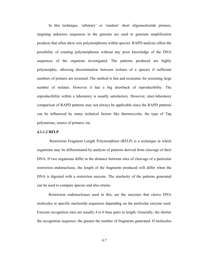In this technique, 'arbitrary' or 'random' short oligonucleotide primers, targeting unknown sequences in the genome are used to generate amplification products that often show size polymorphisms within species. RAPD analysis offers the possibility of creating polymorphisms without any prior knowledge of the DNA sequences of the organism investigated. The patterns produced are highly polymorphic, allowing discrimination between isolates of a species if sufficient numbers of primers are screened. The method is fast and economic for screening large number of isolates. However it has a big drawback of reproducibility. The reproducibility within a laboratory is usually satisfactory. However, inter-laboratory comparison of RAPD patterns may not always be applicable since the RAPD patterns can be influenced by many technical factors like thermocycler, the type of Taq polymerase, source of primers, etc.

#### **4.1.1.2 RFLP**

 Restriction Fragment Length Polymorphism (RFLP) is a technique in which organisms may be differentiated by analysis of patterns derived from cleavage of their DNA. If two organisms differ in the distance between sites of cleavage of a particular restriction endonuclease, the length of the fragments produced will differ when the DNA is digested with a restriction enzyme. The similarity of the patterns generated can be used to compare species and also strains.

 Restriction endonucleases used in this, are the enzymes that cleave DNA molecules at specific nucleotide sequences depending on the particular enzyme used. Enzyme recognition sites are usually 4 to 6 base pairs in length. Generally, the shorter the recognition sequence, the greater the number of fragments generated. If molecules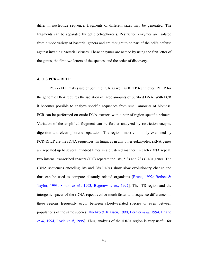differ in nucleotide sequence, fragments of different sizes may be generated. The fragments can be separated by gel electrophoresis. Restriction enzymes are isolated from a wide variety of bacterial genera and are thought to be part of the cell's defense against invading bacterial viruses. These enzymes are named by using the first letter of the genus, the first two letters of the species, and the order of discovery.

#### **4.1.1.3 PCR – RFLP**

 PCR-RFLP makes use of both the PCR as well as RFLP techniques. RFLP for the genomic DNA requires the isolation of large amounts of purified DNA. With PCR it becomes possible to analyze specific sequences from small amounts of biomass. PCR can be performed on crude DNA extracts with a pair of region-specific primers. Variation of the amplified fragment can be further analyzed by restriction enzyme digestion and electrophoretic separation. The regions most commonly examined by PCR-RFLP are the rDNA sequences. In fungi, as in any other eukaryotes, rRNA genes are repeated up to several hundred times in a clustered manner. In each rDNA repeat, two internal transcribed spacers (ITS) separate the 18s, 5.8s and 28s rRNA genes. The rDNA sequences encoding 18s and 28s RNAs show slow evolutionary change and thus can be used to compare distantly related organisms [Bruns, 1992; Berbee  $\&$ Taylor, 1993, Simon *et al.*, 1993, Begerow *et al.*, 1997]. The ITS region and the intergenic spacer of the rDNA repeat evolve much faster and sequence differences in these regions frequently occur between closely-related species or even between populations of the same species [Buchko & Klassen, 1990, Bernier *et al*, 1994, Erland *et al*, 1994, Lovic *et al*, 1995]. Thus, analysis of the rDNA region is very useful for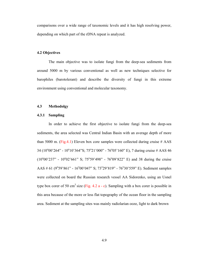comparisons over a wide range of taxonomic levels and it has high resolving power, depending on which part of the rDNA repeat is analyzed.

#### **4.2 Objectives**

The main objective was to isolate fungi from the deep-sea sediments from around 5000 m by various conventional as well as new techniques selective for barophiles (barotolerant) and describe the diversity of fungi in this extreme environment using conventional and molecular taxonomy.

#### **4.3 Methodolgy**

#### **4.3.1 Sampling**

In order to achieve the first objective to isolate fungi from the deep-sea sediments, the area selected was Central Indian Basin with an average depth of more than 5000 m. (Fig.4.1) Eleven box core samples were collected during cruise  $\#$  AAS 34 (10<sup>o</sup>00'264" - 10<sup>o</sup>10'364"S; 75<sup>o</sup>21'000" - 76<sup>o</sup>05'160" E), 7 during cruise # AAS 46  $(10^{\circ}00'237'' - 10^{\circ}02'661''$  S;  $75^{\circ}59'498'' - 76^{\circ}09'822''$  E) and 38 during the cruise AAS  $\#$  61 (9°59'861" - 16°00'047" S; 73°29'819" - 76°30'559" E). Sediment samples were collected on board the Russian research vessel AA Sidorenko, using an Usnel type box corer of 50 cm<sup>3</sup> size (Fig. 4.2 a - c). Sampling with a box corer is possible in this area because of the more or less flat topography of the ocean floor in the sampling area. Sediment at the sampling sites was mainly radiolarian ooze, light to dark brown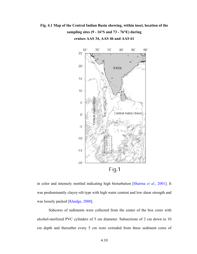### **Fig. 4.1 Map of the Central Indian Basin showing, within inset, location of the sampling sites (9 - 16°S and 73 - 76°E) during**



**cruises AAS 34, AAS 46 and AAS 61** 

in color and intensely mottled indicating high bioturbation [Sharma *et al.*, 2001]. It was predominantly clayey-silt type with high water content and low shear strength and was loosely packed [Khadge, 2000].

Subcores of sediments were collected from the center of the box corer with alcohol-sterilized PVC cylinders of 5 cm diameter. Subsections of 2 cm down to 10 cm depth and thereafter every 5 cm were extruded from these sediment cores of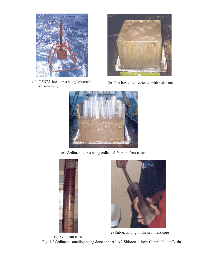

(a) USNEL box cores being lowered for sampling



(b) The box corer retrieved with sediment



(c) Sediment cores being collected from the box corer





(e) Subsectioning of the sediment core

(d) Sediment core Fig. 4.2 Sediment sampling being done onboard AA Sidorenko from Central Indian Basin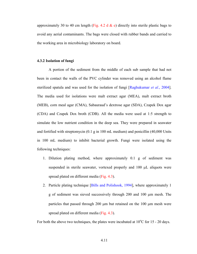approximately 30 to 40 cm length (Fig. 4.2 d  $\&$  e) directly into sterile plastic bags to avoid any aerial contaminants. The bags were closed with rubber bands and carried to the working area in microbiology laboratory on board.

#### **4.3.2 Isolation of fungi**

A portion of the sediment from the middle of each sub sample that had not been in contact the walls of the PVC cylinder was removed using an alcohol flame sterilized spatula and was used for the isolation of fungi [Raghukumar *et al.*, 2004]. The media used for isolations were malt extract agar (MEA), malt extract broth (MEB), corn meal agar (CMA), Sabauraud's dextrose agar (SDA), Czapek Dox agar (CDA) and Czapek Dox broth (CDB). All the media were used at 1:5 strength to simulate the low nutrient condition in the deep sea. They were prepared in seawater and fortified with streptomycin (0.1 g in 100 mL medium) and penicillin (40,000 Units in 100 mL medium) to inhibit bacterial growth. Fungi were isolated using the following techniques:

- 1. Dilution plating method, where approximately 0.1 g of sediment was suspended in sterile seawater, vortexed properly and 100 µL aliquots were spread plated on different media (Fig. 4.3).
- 2. Particle plating technique [Bills and Polishook, 1994], where approximately 1 g of sediment was sieved successively through 200 and 100 µm mesh. The particles that passed through 200 µm but retained on the 100 µm mesh were spread plated on different media (Fig. 4.3).

For both the above two techniques, the plates were incubated at  $10^{\circ}$ C for 15 - 20 days.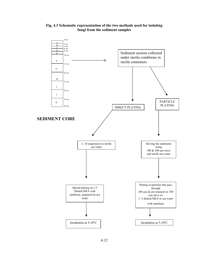#### **Fig. 4.3 Schematic representation of the two methods used for isolating fungi from the sediment samples**

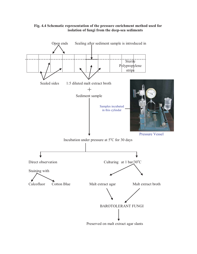

#### **Fig. 4.4 Schematic representation of the pressure enrichment method used for isolation of fungi from the deep-sea sediments**

Preserved on malt extract agar slants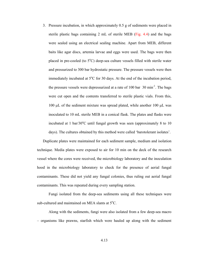3. Pressure incubation, in which approximately 0.5 g of sediments were placed in sterile plastic bags containing 2 mL of sterile MEB (Fig.  $4.4$ ) and the bags were sealed using an electrical sealing machine. Apart from MEB, different baits like agar discs, artemia larvae and eggs were used. The bags were then placed in pre-cooled (to  $5^{\circ}$ C) deep-sea culture vessels filled with sterile water and pressurized to 300 bar hydrostatic pressure. The pressure vessels were then immediately incubated at  $5^{\circ}$ C for 30 days. At the end of the incubation period, the pressure vessels were depressurized at a rate of 100 bar  $30 \text{ min}^{-1}$ . The bags were cut open and the contents transferred to sterile plastic vials. From this, 100  $\mu$ L of the sediment mixture was spread plated, while another 100  $\mu$ L was inoculated to 10 mL sterile MEB in a conical flask. The plates and flasks were incubated at 1 bar/30 $\degree$ C until fungal growth was seen (approximately 8 to 10 days). The cultures obtained by this method were called 'barotolerant isolates'.

Duplicate plates were maintained for each sediment sample, medium and isolation technique. Media plates were exposed to air for 10 min on the deck of the research vessel where the cores were received, the microbiology laboratory and the inoculation hood in the microbiology laboratory to check for the presence of aerial fungal contaminants. These did not yield any fungal colonies, thus ruling out aerial fungal contaminants. This was repeated during every sampling station.

Fungi isolated from the deep-sea sediments using all these techniques were sub-cultured and maintained on MEA slants at  $5^{\circ}$ C.

 Along with the sediments, fungi were also isolated from a few deep-sea macro – organisms like prawns, starfish which were hauled up along with the sediment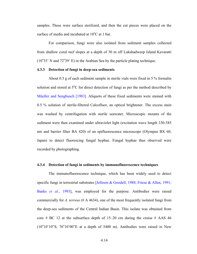samples. These were surface sterilized, and then the cut pieces were placed on the surface of media and incubated at  $10^{\circ}$ C at 1 bar.

 For comparison, fungi were also isolated from sediment samples collected from shallow coral reef slopes at a depth of 30 m off Lakshadweep Island Kavaratti  $(10^{\circ}35)$  N and  $72^{\circ}39$  E) in the Arabian Sea by the particle plating technique.

#### **4.3.3 Detection of fungi in deep-sea sediments**

About 0.5 g of each sediment sample in sterile vials were fixed in 5 % formalin solution and stored at  $5^{\circ}$ C for direct detection of fungi as per the method described by Müeller and Sengbusch [1983]. Aliquots of these fixed sediments were stained with 0.5 % solution of sterile-filtered Calcofluor, an optical brightener. The excess stain was washed by centrifugation with sterile seawater. Microscopic mounts of the sediment were then examined under ultraviolet light (excitation wave length 330-385 nm and barrier filter BA 420) of an epifluorescence microscope (Olympus BX 60, Japan) to detect fluorescing fungal hyphae. Fungal hyphae thus observed were recorded by photographing.

#### **4.3.4 Detection of fungi in sediments by immunofluorescence techniques**

The immunofluorescence technique, which has been widely used to detect specific fungi in terrestrial substrates [Jellison & Goodell, 1988; Friese & Allen, 1991; Banks *et al.*, 1993], was employed for the purpose. Antibodies were raised commercially for *A. terreus* (# A 4634), one of the most frequently isolated fungi from the deep-sea sediments of the Central Indian Basin. This isolate was obtained from core  $\#$  BC 12 at the subsurface depth of 15–20 cm during the cruise  $\#$  AAS 46  $(10^{\circ}10'10'')$ S;  $76^{\circ}10'00''$ E at a depth of 5400 m). Antibodies were raised in New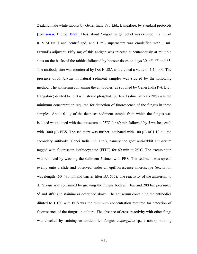Zealand male white rabbits by Genei India Pvt. Ltd., Bangalore, by standard protocols [Johnson & Thorpe, 1987]. Thus, about 2 mg of fungal pellet was crushed in 2 mL of 0.15 M NaCl and centrifuged, and 1 mL supernatant was emulsified with 1 mL Freund's adjuvant. Fifty mg of this antigen was injected subcutaneously at multiple sites on the backs of the rabbits followed by booster doses on days 30, 45, 55 and 65. The antibody titre was monitored by Dot ELISA and yielded a value of 1:10,000. The presence of *A. terreus* in natural sediment samples was studied by the following method: The antiserum containing the antibodies (as supplied by Genei India Pvt. Ltd., Bangalore) diluted to 1:10 with sterile phosphate buffered saline pH 7.0 (PBS) was the minimum concentration required for detection of fluorescence of the fungus in these samples. About 0.1 g of the deep-sea sediment sample from which the fungus was isolated was stained with the antiserum at  $25^{\circ}$ C for 60 min followed by 5 washes, each with 1000 µL PBS. The sediment was further incubated with 100 µL of 1:10 diluted secondary antibody (Genei India Pvt. Ltd.), namely the goat anti-rabbit anti-serum tagged with fluorescein isothiocyanate (FITC) for 60 min at  $25^{\circ}$ C. The excess stain was removed by washing the sediment 5 times with PBS. The sediment was spread evenly onto a slide and observed under an epifluorescence microscope (excitation wavelength 450–480 nm and barrier filter BA 515). The reactivity of the antiserum to *A. terreus* was confirmed by growing the fungus both at 1 bar and 200 bar pressure / 5<sup>o</sup> and 30<sup>o</sup>C and staining as described above. The antiserum containing the antibodies diluted to 1:100 with PBS was the minimum concentration required for detection of fluorescence of the fungus in culture. The absence of cross reactivity with other fungi was checked by staining an unidentified fungus, *Aspergillus* sp., a non-sporulating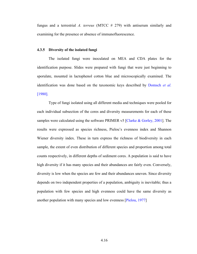fungus and a terrestrial *A. terreus* (MTCC # 279) with antiserum similarly and examining for the presence or absence of immunofluorescence.

#### **4.3.5 Diversity of the isolated fungi**

The isolated fungi were inoculated on MEA and CDA plates for the identification purpose. Slides were prepared with fungi that were just beginning to sporulate, mounted in lactophenol cotton blue and microscopically examined. The identification was done based on the taxonomic keys described by Domsch *et al.* [1980].

Type of fungi isolated using all different media and techniques were pooled for each individual subsection of the cores and diversity measurements for each of these samples were calculated using the software PRIMER v5 [Clarke & Gorley, 2001]. The results were expressed as species richness, Pielou's evenness index and Shannon Wiener diversity index. These in turn express the richness of biodiversity in each sample, the extent of even distribution of different species and proportion among total counts respectively, in different depths of sediment cores. A population is said to have high diversity if it has many species and their abundances are fairly even. Conversely, diversity is low when the species are few and their abundances uneven. Since diversity depends on two independent properties of a population, ambiguity is inevitable; thus a population with few species and high evenness could have the same diversity as another population with many species and low evenness [Pielou, 1977]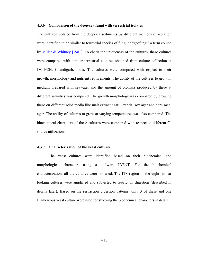#### **4.3.6 Comparison of the deep-sea fungi with terrestrial isolates**

The cultures isolated from the deep-sea sediments by different methods of isolation were identified to be similar to terrestrial species of fungi or "geofungi" a term coined by Miller & Whitney [1981]. To check the uniqueness of the cultures, these cultures were compared with similar terrestrial cultures obtained from culture collection at IMTECH, Chandigarh, India. The cultures were compared with respect to their growth, morphology and nutrient requirements. The ability of the cultures to grow in medium prepared with seawater and the amount of biomass produced by these at different salinities was compared. The growth morphology was compared by growing these on different solid media like malt extract agar, Czapek Dox agar and corn meal agar. The ability of cultures to grow at varying temperatures was also compared. The biochemical characters of these cultures were compared with respect to different Csource utilization.

#### **4.3.7 Characterization of the yeast cultures**

The yeast cultures were identified based on their biochemical and morphological characters using a software IDENT. For the biochemical characterization, all the cultures were not used. The ITS region of the eight similar looking cultures were amplified and subjected to restriction digestion (described in details later). Based on the restriction digestion patterns, only 3 of these and one filamentous yeast culture were used for studying the biochemical characters in detail.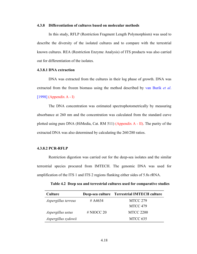#### **4.3.8 Differentiation of cultures based on molecular methods**

In this study, RFLP (Restriction Fragment Length Polymorphism) was used to describe the diversity of the isolated cultures and to compare with the terrestrial known cultures. REA (Restriction Enzyme Analysis) of ITS products was also carried out for differentiation of the isolates.

#### **4.3.8.1 DNA extraction**

DNA was extracted from the cultures in their log phase of growth. DNA was extracted from the frozen biomass using the method described by van Burik *et al*.  $[1998]$  (Appendix A - I)

The DNA concentration was estimated spectrophotometrically by measuring absorbance at 260 nm and the concentration was calculated from the standard curve plotted using pure DNA (HiMedia, Cat. RM 511) (Appendix A - II). The purity of the extracted DNA was also determined by calculating the 260/280 ratios.

#### **4.3.8.2 PCR-RFLP**

Restriction digestion was carried out for the deep-sea isolates and the similar terrestrial species procured from IMTECH. The genomic DNA was used for amplification of the ITS 1 and ITS 2 regions flanking either sides of 5.8s rRNA.

| <b>Culture</b>      |            | Deep-sea culture Terrestrial IMTECH culture |
|---------------------|------------|---------------------------------------------|
| Aspergillus terreus | # A4634    | <b>MTCC 279</b>                             |
|                     |            | MTCC 479                                    |
| Aspergillus ustus   | # NIOCC 20 | <b>MTCC 2200</b>                            |
| Aspergillus sydowii |            | MTCC 635                                    |

**Table 4.2 Deep sea and terrestrial cultures used for comparative studies**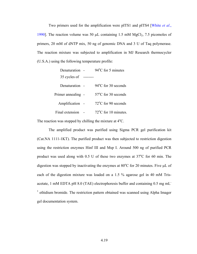Two primers used for the amplification were pITS1 and pITS4 [White *et al*., 1990]. The reaction volume was 50  $\mu$ L containing 1.5 mM MgCl<sub>2</sub>, 7.5 picomoles of primers, 20 mM of dNTP mix, 50 ng of genomic DNA and 3 U of Taq polymerase. The reaction mixture was subjected to amplification in MJ Research thermocycler (U.S.A.) using the following temperature profile:

| Denaturation -     | $94^{\circ}$ C for 5 minutes   |
|--------------------|--------------------------------|
| 35 cycles of       |                                |
| Denaturation -     | $94^{\circ}$ C for 30 seconds  |
| Primer annealing - | $57^{\circ}$ C for 30 seconds  |
| Amplification      | $72^{\circ}$ C for 90 seconds  |
| Final extension    | $72^{\circ}$ C for 10 minutes. |

The reaction was stopped by chilling the mixture at  $4^{\circ}$ C.

The amplified product was purified using Sigma PCR gel purification kit (Cat.NA 1111-1KT). The purified product was then subjected to restriction digestion using the restriction enzymes Hinf III and Msp I. Around 500 ng of purified PCR product was used along with  $0.5$  U of these two enzymes at  $37^{\circ}$ C for 60 min. The digestion was stopped by inactivating the enzymes at  $80^{\circ}$ C for 20 minutes. Five  $\mu$ L of each of the digestion mixture was loaded on a 1.5 % agarose gel in 40 mM Trisacetate, 1 mM EDTA pH 8.0 (TAE) electrophoresis buffer and containing 0.5 mg mL-<sup>1</sup> ethidium bromide. The restriction pattern obtained was scanned using Alpha Imager gel documentation system.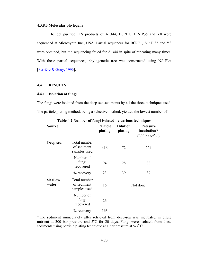#### **4.3.8.3 Molecular phylogeny**

 The gel purified ITS products of A 344, BC7E1, A 61P35 and Y8 were sequenced at Microsynth Inc., USA. Partial sequences for BC7E1, A 61P35 and Y8 were obtained, but the sequencing failed for A 344 in spite of repeating many times. With these partial sequences, phylogenetic tree was constructed using NJ Plot [Perrière & Gouy, 1996].

#### **4.4 RESULTS**

#### **4.4.1 Isolation of fungi**

The fungi were isolated from the deep-sea sediments by all the three techniques used. The particle plating method, being a selective method, yielded the lowest number of

| <b>Source</b>           |                                             | Particle<br>plating | <b>Dilution</b><br>plating | <b>Pressure</b><br>incubation*<br>$(300 \text{ bar}/5^{\circ}\text{C})$ |  |  |
|-------------------------|---------------------------------------------|---------------------|----------------------------|-------------------------------------------------------------------------|--|--|
| Deep sea                | Total number<br>of sediment<br>samples used | 416                 | 72                         | 224                                                                     |  |  |
|                         | Number of<br>fungi<br>recovered             | 94                  | 28                         | 88                                                                      |  |  |
|                         | $\%$ recovery                               | 23                  | 39                         | 39                                                                      |  |  |
| <b>Shallow</b><br>water | Total number<br>of sediment<br>samples used | 16                  |                            | Not done                                                                |  |  |
|                         | Number of<br>fungi<br>recovered             | 26                  |                            |                                                                         |  |  |
|                         | $\%$ recovery                               | 163                 |                            |                                                                         |  |  |

**Table 4.2 Number of fungi isolated by various techniques**

\*The sediment immediately after retrieval from deep-sea was incubated in dilute nutrient at 300 bar pressure and  $5^{\circ}$ C for 20 days. Fungi were isolated from these sediments using particle plating technique at 1 bar pressure at  $5\text{-}7\text{°C}$ .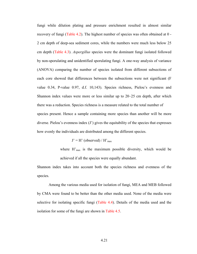fungi while dilution plating and pressure enrichment resulted in almost similar recovery of fungi (Table 4.2). The highest number of species was often obtained at 0 - 2 cm depth of deep-sea sediment cores, while the numbers were much less below 25 cm depth (Table 4.3). *Aspergillus* species were the dominant fungi isolated followed by non-sporulating and unidentified sporulating fungi. A one-way analysis of variance (ANOVA) comparing the number of species isolated from different subsections of each core showed that differences between the subsections were not significant (F value 0.34, P-value 0.97, d.f. 10,143). Species richness, Pielou's evenness and Shannon index values were more or less similar up to 20–25 cm depth, after which there was a reduction. Species richness is a measure related to the total number of species present. Hence a sample containing more species than another will be more diverse. Pielou's evenness index (J') gives the equitability of the species that expresses how evenly the individuals are distributed among the different species.

#### $J' = H'$  (observed) /  $H'_{max}$

where  $H'_{\text{max}}$  is the maximum possible diversity, which would be achieved if all the species were equally abundant.

Shannon index takes into account both the species richness and evenness of the species.

Among the various media used for isolation of fungi, MEA and MEB followed by CMA were found to be better than the other media used. None of the media were selective for isolating specific fungi (Table 4.4). Details of the media used and the isolation for some of the fungi are shown in Table 4.5.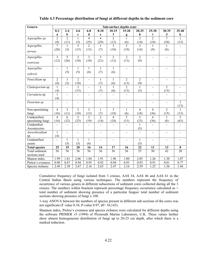| Genera                      | Sub-surface depths (cm) |                 |                          |                          |                          |                 |                          |                 |                   |                |                   |
|-----------------------------|-------------------------|-----------------|--------------------------|--------------------------|--------------------------|-----------------|--------------------------|-----------------|-------------------|----------------|-------------------|
|                             | $0-2$                   | $2 - 4$         | $4-6$                    | $6-8$                    | $8 - 10$                 | $10 - 15$       | $15 - 20$                | $20 - 25$       | $25 - 30$         | 30-35          | $35 - 40$         |
|                             | a                       | $\mathbf b$     | $\mathbf c$              | d                        | e                        | f               | g                        | h               | i                 | $\bf J$        | $\bf k$           |
| Aspergillus sp.             | $\overline{2}$          | $\overline{2}$  | $\mathbf{1}$             | $\overline{4}$           | $\overline{4}$           | $\overline{2}$  | 1                        | $\overline{3}$  | $\overline{2}$    | $\overline{7}$ | 1                 |
|                             | (8)                     | (11)            | (5)                      | (25)                     | (29)                     | (12)            | (6)                      | (14)            | (18)              | (54)           | (13)              |
| Aspergillus                 | 7                       | $\mathbf{1}$    | $\overline{3}$           | $\overline{2}$           | 1                        | 3               | $\overline{3}$           | $\overline{3}$  | 1                 | 1              |                   |
| terreus                     | (28)                    | (5)             | (15)                     | (13)                     | (7)                      | (18)            | (19)                     | (14)            | (9)               | (8)            |                   |
|                             |                         |                 |                          |                          |                          |                 |                          |                 |                   |                |                   |
| Aspergillus                 | $\overline{3}$          | $\overline{5}$  | $\overline{2}$           | $\overline{3}$           | $\overline{3}$           | $\overline{2}$  | $\overline{2}$           | $\overline{2}$  | $\sim$            | $\overline{a}$ |                   |
| restrictus                  | (12)                    | (26)            | (10)                     | (19)                     | (21)                     | (12)            | (13)                     | (9)             |                   |                |                   |
|                             |                         |                 |                          |                          |                          |                 |                          |                 |                   |                |                   |
| Aspergillus                 |                         | $\mathbf{1}$    | $\mathbf{1}$             | $\mathbf{1}$             | $\mathbf{1}$             | $\mathbf{1}$    | $\overline{a}$           | $\blacksquare$  |                   |                |                   |
| sydowii                     |                         | (5)             | (5)                      | (6)                      | (7)                      | (6)             |                          |                 |                   |                |                   |
|                             |                         |                 |                          |                          |                          |                 |                          |                 |                   |                |                   |
| Penicillium sp.             | $\overline{2}$          | $\mathbf{1}$    | $\overline{2}$           | $\overline{a}$           | $\mathbf{1}$             | $\mathbf{1}$    | $\overline{2}$           | $\overline{2}$  | $\blacksquare$    | $\overline{a}$ |                   |
|                             | (8)                     | (5)             | (10)<br>$\overline{3}$   |                          | (7)                      | (6)             | (13)                     | (9)             |                   | $\overline{2}$ |                   |
| Cladosporium sp.            | $\mathbf{1}$            | $\overline{a}$  |                          | $\overline{a}$           | $\mathbf{1}$             | $\mathbf{1}$    | $\overline{2}$           | $\mathbf{1}$    | $\overline{a}$    |                |                   |
|                             | (4)<br>$\mathbf{1}$     |                 | (15)                     |                          | (7)                      | (6)             | (13)                     | (5)             |                   | (15)           |                   |
| Curvularia sp.              |                         | $\blacksquare$  | $\blacksquare$           | $\blacksquare$           | $\overline{a}$           | $\overline{a}$  | $\blacksquare$           |                 | $\blacksquare$    | $\blacksquare$ | $\overline{a}$    |
| Fusarium sp.                | (4)<br>$\blacksquare$   |                 |                          |                          | $\overline{\phantom{a}}$ | $\blacksquare$  | $\overline{\phantom{a}}$ |                 |                   |                | $\mathbf{1}$      |
|                             |                         | $\overline{a}$  | $\overline{\phantom{a}}$ | $\overline{\phantom{a}}$ |                          |                 |                          | $\blacksquare$  | $\blacksquare$    | $\blacksquare$ | (13)              |
| Non-sporulating             | $\overline{4}$          | $\overline{2}$  | $\overline{2}$           | $\overline{2}$           | 1                        | 3               | $\mathbf{1}$             | 4               | $\overline{4}$    | $\overline{2}$ | $\mathbf{1}$      |
| fungi                       | (16)                    | (11)            | (10)                     | (13)                     | (7)                      | (18)            | (6)                      | (18)            | (36)              | (15)           | (13)              |
| Unidentified                | 4                       | $\overline{6}$  | $\overline{5}$           | 3                        | $\overline{2}$           | $\overline{4}$  | $\overline{5}$           | 5               | $\overline{4}$    | $\mathbf{1}$   | $\overline{5}$    |
| sporulating fungi           | (16)                    | (32)            | (25)                     | (19)                     | (14)                     | (24)            | (31)                     | (23)            | (36)              | (8)            | (63)              |
| Unidentfied                 | $\overline{a}$          | $\overline{a}$  | $\overline{a}$           | $\blacksquare$           | $\overline{\phantom{0}}$ |                 | $\overline{\phantom{a}}$ | $\mathbf{1}$    | $\blacksquare$    | $\blacksquare$ |                   |
| Ascomycetes                 |                         |                 |                          |                          |                          |                 |                          | (5)             |                   |                |                   |
| $\overline{Aure}$ obasidium | $\mathbf{1}$            | $\overline{a}$  | $\overline{a}$           | $\blacksquare$           | $\overline{a}$           | $\blacksquare$  | $\overline{\phantom{a}}$ | $\overline{a}$  | $\blacksquare$    | $\overline{a}$ |                   |
| sp.                         | (4)                     |                 |                          |                          |                          |                 |                          |                 |                   |                |                   |
| Unidentified                |                         | $\mathbf{1}$    | $\mathbf{1}$             | $\mathbf{1}$             | $\overline{a}$           | $\overline{a}$  | $\overline{a}$           | $\mathbf{1}$    | $\blacksquare$    | $\overline{a}$ |                   |
| yeasts                      |                         | (5)             | (5)                      | (6)                      |                          |                 |                          | (5)             |                   |                |                   |
| <b>Total species</b>        | 25                      | 19              | 20                       | 16                       | 14                       | 17              | 16                       | 22              | 11                | 13             | 8                 |
| Total sediment              | 56                      | $\overline{56}$ | 56                       | $\overline{56}$          | $\overline{56}$          | $\overline{56}$ | $\overline{56}$          | $\overline{55}$ | 50                | 42             | 20                |
| sections used               |                         |                 |                          |                          |                          |                 |                          |                 |                   |                |                   |
| Shanon index                | 1.99                    | 1.81            | 2.06                     | 1.84                     | 1.91                     | 1.96            | 1.80                     | 2.05            | $\overline{1.26}$ | 1.30           | $\overline{1.07}$ |
| Pielou's evenness           | 0.90                    | 0.87            | 0.94                     | 0.95                     | 0.92                     | 0.94            | 0.93                     | 0.93            | 0.91              | 0.81           | 0.77              |
| Species richness            | 2.49                    | 2.38            | 2.67                     | 2.16                     | 2.65                     | 2.47            | 2.16                     | 2.59            | 1.25              | 1.56           | 1.44              |

#### **Table 4.3 Percentage distribution of fungi at different depths in the sediment core**

Cumulative frequency of fungi isolated from 3 cruises, AAS 34, AAS 46 and AAS 61 in the Central Indian Basin using various techniques. The numbers represent the frequency of occurrence of various genera in different subsections of sediment cores collected during all the 3 cruises. The numbers within brackets represent percentage frequency occurrence calculated as = total number of sediment showing presence of a particular fungus/ total number of sediment sections showing presence of fungi x 100.

1-way ANOVA between the numbers of species present in different sub-sections of the cores was not significant (F value 0.34, P-value 0.97, df=  $10,143$ ).

Shannon index, Pielou's evenness and species richness were calculated for different depths using the software PRIMER v5 (1994) of Plymouth Marine Laboratory, U.K. These values further show almost homogeneous distribution of fungi up to 20-25 cm depth, after which there is a marked reduction.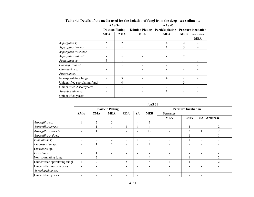|                                |                   | <b>AAS 34</b>           | <b>AAS 46</b>           |                         |                |                            |  |  |
|--------------------------------|-------------------|-------------------------|-------------------------|-------------------------|----------------|----------------------------|--|--|
|                                |                   | <b>Dilution Plating</b> | <b>Dilution Plating</b> | <b>Particle plating</b> |                | <b>Pressure incubation</b> |  |  |
|                                | <b>MEA</b><br>ZMA |                         | <b>MEA</b>              | <b>MEA</b>              | <b>MEB</b>     | <b>Seawater</b>            |  |  |
|                                |                   |                         |                         |                         |                | <b>MEA</b>                 |  |  |
| Aspergillus sp.                | 5                 | $\overline{2}$          |                         | 4                       | $\overline{2}$ |                            |  |  |
| Aspergillus terreus            |                   |                         |                         |                         | 5              | $\overline{4}$             |  |  |
| Aspergillus restrictus         |                   |                         |                         |                         |                |                            |  |  |
| Aspergillus sydowii            |                   |                         |                         |                         | 2              |                            |  |  |
| Penicillium sp.                | 3                 |                         |                         |                         |                |                            |  |  |
| Cladosporium sp.               | 3                 |                         |                         |                         |                |                            |  |  |
| Curvularia sp.                 |                   |                         |                         |                         |                |                            |  |  |
| <i>Fusarium</i> sp.            |                   |                         |                         |                         |                |                            |  |  |
| Non-sporulating fungi          | 2                 | 3                       |                         | 4                       |                |                            |  |  |
| Unidentified sporulating fungi | $\overline{4}$    | $\overline{4}$          |                         |                         | 3              |                            |  |  |
| Unidentified Ascomycetes       |                   |                         |                         |                         |                |                            |  |  |
| Aureobasidium sp.              |                   |                         |                         |                         |                |                            |  |  |
| Unidentified yeasts            |                   |                         |                         |                         |                |                            |  |  |

**Table 4.4 Details of the media used for the isolation of fungi from the deep –sea sediments** 

|                                |                          | <b>AAS 61</b>  |                          |                          |                          |                          |                            |                          |                              |                  |  |
|--------------------------------|--------------------------|----------------|--------------------------|--------------------------|--------------------------|--------------------------|----------------------------|--------------------------|------------------------------|------------------|--|
|                                | <b>Particle Plating</b>  |                |                          |                          |                          |                          | <b>Pressure Incubation</b> |                          |                              |                  |  |
|                                | <b>ZMA</b>               | <b>CMA</b>     | <b>MEA</b>               | <b>CDA</b>               | <b>SA</b>                | <b>MEB</b>               | <b>Seawater</b>            |                          |                              |                  |  |
|                                |                          |                |                          |                          |                          |                          | <b>MEA</b>                 | <b>CMA</b>               | <b>SA</b>                    | <b>Artlarvae</b> |  |
| Aspergillus sp.                |                          | 2              | 5                        |                          | 4                        | 3                        | $\blacksquare$             | $\qquad \qquad$          | $\overline{\phantom{a}}$     | $\,$             |  |
| Aspergillus terreus            | $\overline{\phantom{0}}$ |                |                          |                          |                          | 4                        |                            | 4                        | $\overline{\phantom{a}}$     | 2                |  |
| Aspergillus restrictus         | $\overline{\phantom{0}}$ |                |                          |                          | -                        | 15                       |                            | $\overline{2}$           |                              | $\overline{2}$   |  |
| Aspergillus sydowii            | $\overline{\phantom{0}}$ |                |                          |                          |                          |                          |                            |                          | $\qquad \qquad \blacksquare$ |                  |  |
| Penicillium sp.                | $\overline{\phantom{0}}$ |                | 2                        | $\overline{\phantom{0}}$ |                          | 2                        |                            |                          | $\overline{\phantom{a}}$     |                  |  |
| Cladosporium sp.               | $\overline{\phantom{0}}$ |                | 2                        | $\overline{\phantom{a}}$ | $\overline{\phantom{a}}$ | 4                        | $\blacksquare$             | $\overline{\phantom{a}}$ | $\overline{\phantom{a}}$     | $\,$             |  |
| Curvularia sp.                 | $\overline{\phantom{0}}$ |                | $\overline{\phantom{a}}$ | $\overline{\phantom{a}}$ | $\overline{\phantom{a}}$ |                          |                            | $\blacksquare$           | $\overline{\phantom{0}}$     |                  |  |
| Fusarium sp.                   | $\overline{\phantom{0}}$ |                | $\overline{\phantom{a}}$ |                          | -                        |                          |                            |                          | $\qquad \qquad \blacksquare$ |                  |  |
| Non-sporulating fungi          | $\overline{\phantom{a}}$ | 2              | 4                        |                          | 4                        | 4                        |                            |                          | $\overline{\phantom{a}}$     | 2                |  |
| Unidentified sporulating fungi |                          | $\overline{2}$ | 7                        |                          | 3                        | 8                        |                            | 4                        | $\overline{\phantom{a}}$     | $\overline{2}$   |  |
| Unidentified Ascomycetes       | $\overline{\phantom{a}}$ | -              |                          | $\overline{\phantom{0}}$ | -                        | $\overline{\phantom{0}}$ |                            | $\blacksquare$           | -                            |                  |  |
| Aureobasidium sp.              |                          |                |                          |                          | $\overline{\phantom{0}}$ |                          |                            |                          | $\overline{\phantom{0}}$     |                  |  |
| Unidentified yeasts            |                          |                |                          |                          | -                        | 3                        |                            |                          | -                            |                  |  |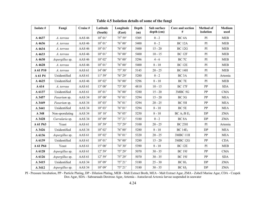| Isolate # | Fungi           | Cruise #          | Latitude<br>(South) | Longitude<br>(East) | Depth<br>(m) | Sub surface<br>depth (cm) | Core and section<br>#               | <b>Method of</b><br>isolation | Medium<br>used |
|-----------|-----------------|-------------------|---------------------|---------------------|--------------|---------------------------|-------------------------------------|-------------------------------|----------------|
| A 4637    | A. terreus      | <b>AAS 46</b>     | $10^{\circ} 01'$    | 75° 59'             | 5305         | $0 - 2$                   | BC <sub>4</sub> A                   | PI                            | MEB            |
| A 4636    | A. terreus      | <b>AAS 46</b>     | $10^{\circ} 01'$    | $76^{\circ}$ 00'    | 5400         | $0 - 2$                   | <b>BC 12A</b>                       | PI                            | <b>MEB</b>     |
| A 4634    | A. terreus      | <b>AAS 46</b>     | $10^{\circ} 01'$    | $76^{\circ} 00'$    | 5400         | $15 - 20$                 | <b>BC 12G</b>                       | PI                            | <b>MEB</b>     |
| A 4633    | A. terreus      | <b>AAS 46</b>     | $10^{\circ} 01'$    | $76^{\circ}$ 00'    | 5400         | $10 - 15$                 | <b>BC 12F</b>                       | PI                            | <b>MEB</b>     |
| A 4630    | Aspergillus sp. | <b>AAS 46</b>     | $10^{\circ}$ 02'    | $76^{\circ} 00'$    | 5296         | $4 - 6$                   | BC 7C                               | PI                            | MEB            |
| A 4628    | A. terreus      | <b>AAS 46</b>     | $10^{\circ} 01'$    | $76^{\circ}$ 00'    | 5400         | $8 - 10$                  | <b>BC 12E</b>                       | PI                            | MEB            |
| A 61 P10  | A. terreus      | AAS <sub>61</sub> | $14^{\circ} 00'$    | 75° 30'             | 5145         | $20 - 25$                 | <b>BC 14H</b>                       | PI                            | <b>MEB</b>     |
| A 61 P4   | Unidentified    | AAS 61            | $11^{\circ} 59'$    | $76^{\circ} 29'$    | 5280         | $0 - 2$                   | BC <sub>3</sub> A                   | PI                            | Artemia        |
| A 4625    | Unidentified    | <b>AAS 46</b>     | $10^{\circ} 02$     | $76^{\circ}$ 00'    | 5296         | $8 - 10$                  | BC <sub>7E</sub>                    | PI                            | <b>MEB</b>     |
| A 614     | A. terreus      | AAS 61            | $13^{\circ} 00'$    | 73° 30'             | 4810         | $10 - 15$                 | <b>BC 17F</b>                       | PP                            | <b>SDA</b>     |
| A 6137    | Unidentified    | AAS <sub>61</sub> | $10^{\circ} 01'$    | $76^{\circ}$ 00'    | 5280         | $15 - 20$                 | 3MBC 5G                             | PP                            | <b>CMA</b>     |
| A 3457    | Fusarium sp.    | AAS <sub>34</sub> | $10^{\circ} 00'$    | $76^{\circ} 01'$    | 5294         | $15 - 20$                 | BC <sub>3G</sub>                    | PP                            | <b>MEA</b>     |
| A 3449    | Fusarium sp.    | AAS <sub>34</sub> | $10^{\circ} 03'$    | $76^{\circ} 01'$    | 5294         | $20 - 25$                 | BC <sub>5H</sub>                    | PP                            | <b>MEA</b>     |
| A 3441    | Unidentified    | AAS 34            | $10^{\circ} 03'$    | $76^{\circ} 01'$    | 5294         | $8 - 10$                  | BC <sub>5E</sub>                    | PP                            | <b>MEA</b>     |
| A 348     | Non-sporulating | AAS 34            | $10^{\circ} 10'$    | 76° 05'             | 5250         | $8 - 10$                  | BC A <sub>1</sub> /B E <sub>1</sub> | DP                            | <b>ZMA</b>     |
| A 3428    | Curvularia sp.  | AAS <sub>34</sub> | $10^{\circ} 09'$    | 75° 21'             | 5180         | $0 - 2$                   | BC <sub>8</sub> A                   | DP                            | <b>ZMA</b>     |
| A 61 P63  | Yeast           | AAS <sub>61</sub> | $10^{\circ} 59'$    | 73° 29'             | 5100         | $20 - 25$                 | BC <sub>23H</sub>                   | PI                            | Artemia        |
| A 3426    | Unidentified    | AAS <sub>34</sub> | $10^{\circ} 02'$    | $76^{\circ} 00'$    | 5280         | $8 - 10$                  | $BC 14E_1$                          | DP                            | <b>MEA</b>     |
| A 6136    | Aspergillus sp. | AAS 61            | $10^{\circ} 02$     | $76^{\circ} 01'$    | 5320         | $20 - 25$                 | 3MBC 11H                            | PP                            | <b>MEA</b>     |
| A 6139    | Unidentified    | <b>AAS 61</b>     | $10^{\circ} 01'$    | $76^{\circ}$ 00'    | 5280         | $15 - 20$                 | <b>3MBC 12G</b>                     | ${\rm PP}$                    | CDA            |
| A 61 P64  | Yeast           | <b>AAS 61</b>     | $15^{\circ} 00'$    | 74° 30'             | 5390         | $8 - 10$                  | BC <sub>12E</sub>                   | PI                            | <b>MEB</b>     |
| A 6128    | Aspergillus sp. | AAS <sub>61</sub> | $12^{\circ} 59'$    | 75° 29'             | 5070         | $30 - 35$                 | <b>BC 19J</b>                       | PP                            | <b>CMA</b>     |
| A 6126    | Aspergillus sp. | AAS 61            | $12^{\circ} 59'$    | 75° 29'             | 5070         | $30 - 35$                 | <b>BC 19J</b>                       | PP                            | <b>SDA</b>     |
| A 3415    | Unidentified    | AAS <sub>34</sub> | $10^{\circ} 09'$    | 75° 21'             | 5180         | $25 - 30$                 | BC 8I <sub>1</sub>                  | DP                            | <b>ZMA</b>     |
| A 3412    | Aspergillus sp. | AAS <sub>34</sub> | $10^{\circ} 09'$    | 75° 21'             | 5180         | $30 - 35$                 | BC 8J <sub>2</sub>                  | $\mathbf{D}\mathbf{P}$        | <b>ZMA</b>     |

**Table 4.5 Isolation details of some of the fungi** 

PI - Pressure Incubation, PP - Particle Plating, DP - Dilution Plating, MEB - Malt Extract Broth, MEA - Malt Extract Agar, ZMA - Zobell Marine Agar, CDA - Czapek Dox Agar, SDA - Sabourauds Dextrose Agar, Artemia - Autoclaved A*rtemia* larvae suspended in seawater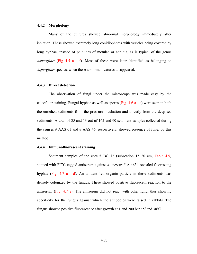#### **4.4.2 Morphology**

Many of the cultures showed abnormal morphology immediately after isolation. These showed extremely long conidiophores with vesicles being covered by long hyphae, instead of phialides of metulae or conidia, as is typical of the genus *Aspergillus* (Fig 4.5 a - f). Most of these were later identified as belonging to *Aspergillus* species, when these abnormal features disappeared.

#### **4.4.3 Direct detection**

The observation of fungi under the microscope was made easy by the calcofluor staining. Fungal hyphae as well as spores (Fig. 4.6 a - e) were seen in both the enriched sediments from the pressure incubation and directly from the deep-sea sediments. A total of 35 and 13 out of 165 and 90 sediment samples collected during the cruises  $#$  AAS 61 and  $#$  AAS 46, respectively, showed presence of fungi by this method.

#### **4.4.4 Immunofluorescent staining**

Sediment samples of the core  $#$  BC 12 (subsection 15–20 cm, Table 4.5) stained with FITC-tagged antiserum against *A. terreus* # A 4634 revealed fluorescing hyphae (Fig. 4.7 a - d). An unidentified organic particle in these sediments was densely colonized by the fungus. These showed positive fluorescent reaction to the antiserum (Fig. 4.7 e). The antiserum did not react with other fungi thus showing specificity for the fungus against which the antibodies were raised in rabbits. The fungus showed positive fluorescence after growth at 1 and 200 bar  $/ 5^{\circ}$  and 30 $^{\circ}$ C.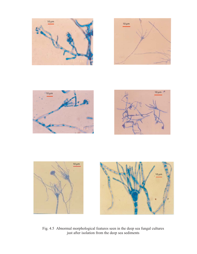







Fig. 4.5 Abnormal morphological features seen in the deep sea fungal cultures just after isolation from the deep sea sediments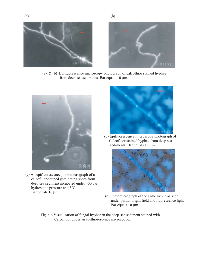





(a)  $\&$  (b) Epifluorescence microscopy photograph of calcofluor stained hyphae from deep sea sediments. Bar equals 10 µm.



(c) An epifluorescence photomicrograph of a calcofluor-stained geminating spore from deep sea sediment incubated under 400 bar hydrostatic pressure and 5°C. Bar equals 10 µm.



(d) Epifluorescence microscopy photograph of Calcofluor stained hyphae from deep sea sediments. Bar equals  $10 \mu m$ .



- (e) Photomicrograph of the same hypha as seen under partial bright field and fluorescence light Bar equals  $10 \mu m$ .
- Fig. 4.6 Visualization of fungal hyphae in the deep-sea sediment stained with Calcofluor under an epifluorescence microscope.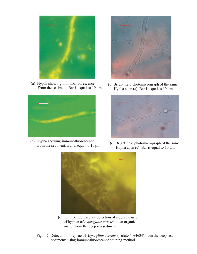

(a) Hypha showing immunofluorescence From the sediment. Bar is equal to 10 µm



(b) Bright field photomicrograph of the same Hypha as in (a). Bar is equal to  $10 \mu m$ 



(c) Hypha showing immunofluorescence



Figure showing immunomorescence<br>from the sediment. Bar is equal to 10  $\mu$ m (d) Bright field photomicrograph of the same<br>Hypha as in (c) Bar is equal to 10  $\mu$ m Hypha as in (c). Bar is equal to  $10 \mu m$ 



- (e) Immunofluorescence detection of a dense cluster of hyphae of *Aspergillus terreus* on an organic matter from the deep sea sediment
- Fig. 4.7 Detection of hyphae of *Aspergillus terreus* (isolate # A4634) from the deep sea sediments using immunofluorescence staining method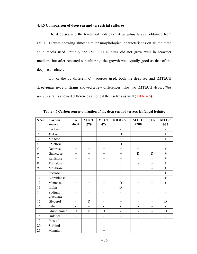#### **4.4.5 Comparison of deep sea and terrestrial cultures**

The deep sea and the terrestrial isolates of *Aspergillus terreus* obtained from IMTECH were showing almost similar morphological characteristics on all the three solid media used. Initially the IMTECH cultures did not grow well in seawater medium, but after repeated subculturing, the growth was equally good as that of the deep-sea isolates.

 Out of the 35 different C - sources used, both the deep-sea and IMTECH *Aspergillus terreus* strains showed a few differences. The two IMTECH *Aspergillus terreus* strains showed differences amongst themselves as well (Table 4.6).

| S.No.          | Carbon<br>source    | $\mathbf{A}$<br>4634     | <b>MTCC</b><br>279 | <b>MTCC</b><br>479 | NIOCC20                  | <b>MTCC</b><br>2200      | CH2                      | <b>MTCC</b><br>635           |
|----------------|---------------------|--------------------------|--------------------|--------------------|--------------------------|--------------------------|--------------------------|------------------------------|
| $\mathbf{1}$   | Lactose             | $+$                      | $+$                | $^{+}$             | $\overline{\phantom{a}}$ | $^{+}$                   | $+$                      | $\blacksquare$               |
| $\overline{2}$ | Xylose              | $+$                      | $^{+}$             | $^{+}$             | D                        | $+$                      | $^{+}$                   | $^{+}$                       |
| $\overline{3}$ | Maltose             | $+$                      | $+$                | $+$                | $^{+}$                   |                          | L,                       | $^{+}$                       |
| $\overline{4}$ | Fructose            | $^{+}$                   | $^{+}$             | $^{+}$             | D                        |                          | L,                       |                              |
| 5              | Dextrose            | $^{+}$                   | $\ddot{}$          | $\ddot{}$          | $\ddot{}$                | $^{+}$                   | L.                       | $\ddot{}$                    |
| 6              | Galactose           | $+$                      | $^{+}$             | $^{+}$             |                          | $\mathbf D$              | $\mathbf D$              | $^{+}$                       |
| $\overline{7}$ | Raffinose           | $^{+}$                   | $^{+}$             | $^{+}$             | $^{+}$                   |                          |                          | $^{+}$                       |
| 8              | Trehalose           | $+$                      | $+$                | $^{+}$             | $+$                      | $\overline{\phantom{a}}$ | L,                       | $+$                          |
| 9              | Melibiose           | $+$                      | $^{+}$             | $\ddot{}$          | $^{+}$                   | $^{+}$                   | L,                       | $^{+}$                       |
| 10             | Sucrose             | $+$                      | $^{+}$             | $^{+}$             |                          | $\blacksquare$           | $\overline{\phantom{a}}$ | $^{+}$                       |
| 11             | L-arabinose         | $+$                      | $+$                | $+$                | $\overline{a}$           | $^{+}$                   | $^{+}$                   | $+$                          |
| 12             | Mannose             | $+$                      | $^{+}$             | $^{+}$             | D                        | $+$                      | $+$                      | $^{+}$                       |
| 13             | Inulin              | $\overline{a}$           |                    | L,                 | D                        |                          | L,                       |                              |
| 14             | Sodium<br>gluconate | ۰                        |                    |                    |                          |                          |                          |                              |
| 15             | Glycerol            | $\blacksquare$           | D                  | L,                 |                          |                          | L,                       | D                            |
| 16             | Salicin             | L.                       | ÷.                 | L,                 | ÷,                       |                          | L,                       | ÷,                           |
| 17             | Glucosamine         | D                        | D                  | D                  |                          |                          | $\overline{a}$           | D                            |
| 18             | Dulcitol            | ä,                       |                    |                    |                          |                          | -                        | $\qquad \qquad \blacksquare$ |
| 19             | Inositol            | $\overline{\phantom{0}}$ |                    |                    |                          |                          | -                        |                              |
| 20             | Sorbitol            |                          |                    |                    |                          |                          |                          | $\overline{\phantom{0}}$     |
| 21             | Mannitol            |                          |                    | $^{+}$             |                          |                          | -                        |                              |

**Table 4.6 Carbon source utilization of the deep sea and terrestrial fungal isolates**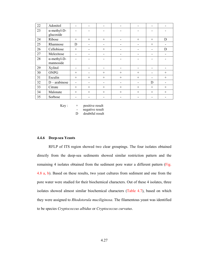| 22 | Adonitol                         | -                        |                          |                          |                          |        | -      |        |
|----|----------------------------------|--------------------------|--------------------------|--------------------------|--------------------------|--------|--------|--------|
| 23 | $\alpha$ -methyl-D-<br>glucoside |                          |                          |                          |                          |        |        |        |
| 24 | Ribose                           | $+$                      | $+$                      | $+$                      | -                        | $^{+}$ | $+$    | D      |
| 25 | Rhamnose                         | D                        | -                        | -                        |                          |        | $^{+}$ |        |
| 26 | Cellobiose                       | $^{+}$                   |                          | $^{+}$                   |                          |        | -      | D      |
| 27 | Melezitose                       | -                        |                          | $\overline{\phantom{0}}$ | ۰                        |        | ۰      |        |
| 28 | $\alpha$ -methyl-D-<br>mannoside |                          |                          |                          |                          |        |        |        |
| 29 | Xylitol                          |                          |                          |                          | ۰                        |        |        |        |
| 30 | <b>ONPG</b>                      | $^{+}$                   |                          | $+$                      | $+$                      | $+$    |        | $+$    |
| 31 | Esculin                          | $^{+}$                   | $^{+}$                   | $^{+}$                   | $^{+}$                   | $^{+}$ | -      | $^{+}$ |
| 32 | $D$ – arabinose                  | $\overline{\phantom{a}}$ | $\overline{\phantom{0}}$ | $\overline{\phantom{a}}$ | $\overline{\phantom{a}}$ |        | D      |        |
| 33 | Citrate                          | $^{+}$                   | $+$                      | $+$                      | $^{+}$                   | $^{+}$ | $^{+}$ | $+$    |
| 34 | Malonate                         | $^{+}$                   | $+$                      | $+$                      | $+$                      | $+$    | $+$    | $^{+}$ |
| 35 | Sorbose                          |                          |                          |                          |                          |        |        |        |

 $Key: + positive result$ - negative result

D doubtful result

#### **4.4.6 Deep-sea Yeasts**

RFLP of ITS region showed two clear groupings. The four isolates obtained directly from the deep-sea sediments showed similar restriction pattern and the remaining 4 isolates obtained from the sediment pore water a different pattern (Fig. 4.8 a, b). Based on these results, two yeast cultures from sediment and one from the pore water were studied for their biochemical characters. Out of these 4 isolates, three isolates showed almost similar biochemical characters (Table 4.7), based on which they were assigned to *Rhodotorula muciliginosa*. The filamentous yeast was identified to be species *Cryptococcus albidus* or *Cryptococcus curvatus*.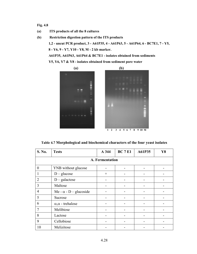#### **Fig. 4.8**

- **(a) ITS products of all the 8 cultures**
- **(b) Restriction digestion pattern of the ITS products**

**1,2 - uncut PCR product, 3 - A61P35, 4 - A61P63, 5 - A61P64, 6 - BC7E1, 7 - Y5,** 

**8 - Y6, 9 - Y7, Y10 - Y8, M - 2 kb marker.** 

**A61P35, A61P63, A61P64 & BC7E1 - isolates obtained from sediments** 

**Y5, Y6, Y7 & Y8 - isolates obtained from sediment pore water**



**Table 4.7 Morphological and biochemical characters of the four yeast isolates**

| S. No.         | <b>Tests</b>                  | A 344                    | <b>BC 7 E1</b> | A61P35 | Y8 |  |  |  |  |  |  |
|----------------|-------------------------------|--------------------------|----------------|--------|----|--|--|--|--|--|--|
|                | A. Fermentation               |                          |                |        |    |  |  |  |  |  |  |
| $\theta$       | YNB without glucose           |                          |                |        |    |  |  |  |  |  |  |
|                | $D - glucose$                 | $^{+}$                   |                |        |    |  |  |  |  |  |  |
| $\overline{2}$ | $D$ – galactose               | $\blacksquare$           |                |        |    |  |  |  |  |  |  |
| 3              | Maltose                       |                          |                |        |    |  |  |  |  |  |  |
| $\overline{4}$ | Me - $\alpha$ - D - glucoside |                          |                |        |    |  |  |  |  |  |  |
| 5              | Sucrose                       |                          |                |        |    |  |  |  |  |  |  |
| 6              | $\alpha, \alpha$ - trehalose  | -                        |                |        |    |  |  |  |  |  |  |
|                | Melibiose                     | $\overline{\phantom{0}}$ |                |        |    |  |  |  |  |  |  |
| 8              | Lactose                       |                          |                |        |    |  |  |  |  |  |  |
| 9              | Cellobiose                    |                          |                |        |    |  |  |  |  |  |  |
| 10             | Melizitose                    |                          |                |        |    |  |  |  |  |  |  |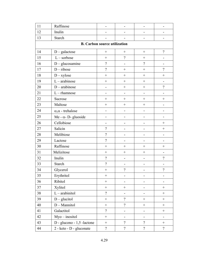| 11                                  | Raffinose                    |                          |                          |                          |                              |  |
|-------------------------------------|------------------------------|--------------------------|--------------------------|--------------------------|------------------------------|--|
| 12                                  | Inulin                       |                          |                          |                          |                              |  |
| 13                                  | Starch                       |                          |                          |                          |                              |  |
| <b>B. Carbon source utilization</b> |                              |                          |                          |                          |                              |  |
| 14                                  | $D - galactose$              | $\qquad \qquad +$        |                          |                          | $\overline{\mathcal{L}}$     |  |
| 15                                  | $L$ – sorbose                | $^{+}$                   | $\gamma$                 | $\boldsymbol{+}$         | $\qquad \qquad \blacksquare$ |  |
| 16                                  | $D -$ glucosamine            | $\overline{\mathcal{L}}$ | $\blacksquare$           | $\overline{?}$           |                              |  |
| 17                                  | $D$ – ribose                 | $\overline{\mathcal{L}}$ | $^{+}$                   |                          | $\gamma$                     |  |
| 18                                  | $D - xylose$                 | $^{+}$                   | $^{+}$                   |                          | $\! + \!$                    |  |
| 19                                  | $L$ – arabinose              | $^{+}$                   | $+$                      |                          | $\overline{a}$               |  |
| 20                                  | $D$ – arabinose              | $\overline{\phantom{0}}$ |                          | $\boldsymbol{+}$         | $\overline{\mathcal{L}}$     |  |
| 21                                  | $L$ – rhamnose               | $\blacksquare$           | $\overline{\phantom{0}}$ | $\overline{\phantom{0}}$ | $\overline{a}$               |  |
| 22                                  | Sucrose                      | $^{+}$                   |                          |                          | $+$                          |  |
| 23                                  | Maltose                      | $^{+}$                   | $^{+}$                   | $^{+}$                   | $\overline{\phantom{0}}$     |  |
| 24                                  | $\alpha, \alpha$ - trehalose |                          |                          |                          |                              |  |
| 25                                  | Me - $\alpha$ - D- gluoside  |                          |                          |                          |                              |  |
| 26                                  | Cellobiose                   |                          |                          |                          | $\boldsymbol{+}$             |  |
| 27                                  | Salicin                      | $\overline{?}$           |                          |                          | $\boldsymbol{+}$             |  |
| 28                                  | Melibiose                    | $\overline{?}$           |                          |                          |                              |  |
| 29                                  | Lactose                      | $\overline{\mathcal{L}}$ |                          | -                        |                              |  |
| 30                                  | Raffinose                    | $^{+}$                   |                          |                          |                              |  |
| 31                                  | Melizitose                   | $^{+}$                   | $^{+}$                   |                          |                              |  |
| 32                                  | Inulin                       | $\overline{?}$           | $\overline{\phantom{0}}$ | -                        | $\overline{\mathcal{L}}$     |  |
| 33                                  | Starch                       | $\overline{?}$           |                          |                          |                              |  |
| 34                                  | Glycerol                     | $\boldsymbol{+}$         | $\overline{?}$           | -                        | $\gamma$                     |  |
| 35                                  | Erythritol                   | $\boldsymbol{+}$         | $\overline{\phantom{0}}$ | -                        | $\overline{\phantom{0}}$     |  |
| 36                                  | Ribitol                      | $\! + \!$                |                          |                          |                              |  |
| 37                                  | Xylitol                      |                          | $^{+}$                   | -                        | $^{+}$                       |  |
| 38                                  | $L$ – arabinitol             | $\overline{?}$           |                          |                          |                              |  |
| 39                                  | $D -$ glucitol               | $\boldsymbol{+}$         | $\gamma$                 |                          | $\boldsymbol{+}$             |  |
| 40                                  | D - Mannitol                 | $\! + \!$                | $\gamma$                 |                          | $\boldsymbol{+}$             |  |
| 41                                  | Galactitol                   | $\gamma$                 | $\overline{\phantom{0}}$ | $\overline{\phantom{0}}$ | $\boldsymbol{+}$             |  |
| 42                                  | $Myo - inositol$             |                          |                          |                          |                              |  |
| 43                                  | D - glucono - 1,5 -lactone   | $\! + \!$                | $\overline{?}$           | $\overline{?}$           | $\boldsymbol{+}$             |  |
| 44                                  | 2 - keto - D - gluconate     | $\boldsymbol{v}$         | $\overline{?}$           | $\overline{?}$           | $\overline{?}$               |  |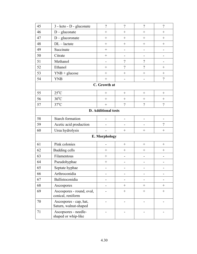| 45            | 3 - keto - D - gluconate                        | $\overline{\mathcal{L}}$ | $\overline{\mathcal{L}}$ | $\gamma$         | $\gamma$                 |  |
|---------------|-------------------------------------------------|--------------------------|--------------------------|------------------|--------------------------|--|
| 46            | $D$ – gluconate                                 | $^{+}$                   | $+$                      | $^{+}$           | $+$                      |  |
| 47            | $D$ – glucoronate                               | $^{+}$                   | $^{+}$                   | $+$              | $+$                      |  |
| 48            | $DL - lactate$                                  | $^{+}$                   | $^{+}$                   | $\boldsymbol{+}$ | $^{+}$                   |  |
| 49            | Succinate                                       | $^{+}$                   | -                        | -                |                          |  |
| 50            | Citrate                                         | $^{+}$                   |                          |                  |                          |  |
| 51            | Methanol                                        | $\overline{\phantom{0}}$ | $\overline{\mathcal{L}}$ | $\gamma$         |                          |  |
| 52            | Ethanol                                         | $\! +$                   | $\overline{\mathcal{L}}$ | $\overline{?}$   | $^{+}$                   |  |
| 53            | $YNB + glucose$                                 | $^{+}$                   | $^{+}$                   | $^{+}$           | $^{+}$                   |  |
| 54            | <b>YNB</b>                                      | $^{+}$                   | -                        |                  | $\overline{\mathcal{L}}$ |  |
|               | C. Growth at                                    |                          |                          |                  |                          |  |
| 55            | $25^{\circ}$ C                                  | $\boldsymbol{+}$         |                          | $\boldsymbol{+}$ |                          |  |
| 56            | $30^{\circ}$ C                                  | $^{+}$                   | $^{+}$                   | $+$              |                          |  |
| 57            | $37^{\circ}$ C                                  | $^{+}$                   | $\gamma$                 | $\gamma$         | $\gamma$                 |  |
|               | <b>D.</b> Additional tests                      |                          |                          |                  |                          |  |
| 58            | <b>Starch formation</b>                         |                          |                          |                  |                          |  |
| 59            | Acetic acid production                          |                          |                          |                  | $\gamma$                 |  |
| 60            | Urea hydrolysis                                 |                          |                          |                  |                          |  |
| E. Morphology |                                                 |                          |                          |                  |                          |  |
| 61            | Pink colonies                                   | $\overline{\phantom{0}}$ | $\boldsymbol{+}$         | $\boldsymbol{+}$ | $+$                      |  |
| 62            | <b>Budding cells</b>                            | $^{+}$                   | $^{+}$                   | $^{+}$           | $^{+}$                   |  |
| 63            | Filamentous                                     | $^{+}$                   |                          |                  |                          |  |
| 64            | Pseudohyphae                                    | $^{+}$                   | -                        | $\overline{a}$   |                          |  |
| 65            | Septate hyphae                                  |                          |                          | -                |                          |  |
| 66            | Arthroconidia                                   |                          |                          |                  |                          |  |
| 67            | Ballistoconidia                                 | $\overline{\phantom{a}}$ |                          |                  |                          |  |
| 68            | Ascospores                                      |                          |                          | $+$              | $+$                      |  |
| 69            | Ascospores - round, oval,<br>conical, reniform  |                          |                          |                  |                          |  |
| 70            | Ascospores - cap, hat,<br>Saturn, walnut-shaped |                          |                          |                  |                          |  |
| 71            | Ascopsores - needle-<br>shaped or whip-like     |                          |                          |                  |                          |  |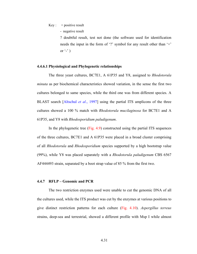$Key: + positive result$ 

- negative result

? doubtful result, test not done (the software used for identification needs the input in the form of '?' symbol for any result other than '+' or  $\lq'$   $\lq$ )

#### **4.4.6.1 Physiological and Phylogenetic relationships**

The three yeast cultures, BC7E1, A 61P35 and Y8, assigned to *Rhodotorula minuta* as per biochemical characteristics showed variation, in the sense the first two cultures belonged to same species, while the third one was from different species. A BLAST search [Altschul *et al*., 1997] using the partial ITS amplicons of the three cultures showed a 100 % match with *Rhodotorula mucilaginosa* for BC7E1 and A 61P35, and Y8 with *Rhodosporidium paludigenum*.

In the phylogenetic tree (Fig. 4.9) constructed using the partial ITS sequences of the three cultures, BC7E1 and A 61P35 were placed in a broad cluster comprising of all *Rhodotorula* and *Rhodosporidium* species supported by a high bootstrap value (99%), while Y8 was placed separately with a *Rhodotorula paludigenum* CBS 6567 AF444493 strain, separated by a boot strap value of 85 % from the first two.

#### **4.4.7 RFLP – Genomic and PCR**

The two restriction enzymes used were unable to cut the genomic DNA of all the cultures used, while the ITS product was cut by the enzymes at various positions to give distinct restriction patterns for each culture (Fig. 4.10). *Aspergillus terreus* strains, deep-sea and terrestrial, showed a different profile with Msp I while almost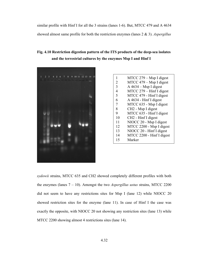similar profile with Hinf I for all the 3 strains (lanes 1-6). But, MTCC 479 and A 4634 showed almost same profile for both the restriction enzymes (lanes 2 & 3). *Aspergillus*

**Fig. 4.10 Restriction digestion pattern of the ITS products of the deep-sea isolates and the terrestrial cultures by the enzymes Msp I and Hinf I** 



| 1              | $MTCC 279 - Msp I digest$       |
|----------------|---------------------------------|
| $\overline{2}$ | MTCC 479 – Msp I digest         |
| 3              | $A$ 4634 – Msp I digest         |
| 4              | MTCC 279 - Hinf I digest        |
| 5              | MTCC 479 - Hinf I digest        |
| 6              | A 4634 - Hinf I digest          |
| 7              | MTCC 635 - Msp I digest         |
| 8              | CH <sub>2</sub> - Msp I digest  |
| 9              | MTCC 635 - Hinf I digest        |
| 10             | CH <sub>2</sub> - Hinf I digest |
| 11             | NIOCC 20 - Msp I digest         |
| 12             | MTCC 2200 - Msp I digest        |
| 13             | NIOCC 20 - Hinf I digest        |
| 14             | MTCC 2200 - Hinf I digest       |
| 15             | Marker                          |
|                |                                 |

*sydowii* strains, MTCC 635 and CH2 showed completely different profiles with both the enzymes (lanes 7 – 10). Amongst the two *Aspergillus ustus* strains, MTCC 2200 did not seem to have any restrictions sites for Msp I (lane 12) while NIOCC 20 showed restriction sites for the enzyme (lane 11). In case of Hinf I the case was exactly the opposite, with NIOCC 20 not showing any restriction sites (lane 13) while MTCC 2200 showing almost 4 restrictions sites (lane 14).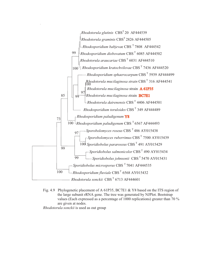

Fig. 4.9 Phylogenetic placement of A 61P35, BC7E1 & Y8 based on the ITS region of the large subunit rRNA gene. The tree was generated by NJPlot. Bootstrap values (Each expressed as a percentage of 1000 replications) greater than 70 % are given at nodes.

*Rhodotorula sonckii* is used as out group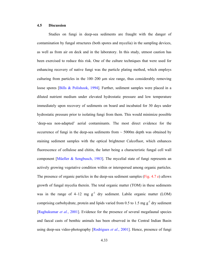#### **4.5 Discussion**

Studies on fungi in deep-sea sediments are fraught with the danger of contamination by fungal structures (both spores and mycelia) in the sampling devices, as well as from air on deck and in the laboratory. In this study, utmost caution has been exercised to reduce this risk. One of the culture techniques that were used for enhancing recovery of native fungi was the particle plating method, which employs culturing from particles in the 100–200 µm size range, thus considerably removing loose spores [Bills & Polishook, 1994]. Further, sediment samples were placed in a diluted nutrient medium under elevated hydrostatic pressure and low temperature immediately upon recovery of sediments on board and incubated for 30 days under hydrostatic pressure prior to isolating fungi from them. This would minimize possible 'deep-sea non-adapted' aerial contaminants. The most direct evidence for the occurrence of fungi in the deep-sea sediments from  $\sim$  5000m depth was obtained by staining sediment samples with the optical brightener Calcofluor, which enhances fluorescence of cellulose and chitin, the latter being a characteristic fungal cell wall component [Müeller & Sengbusch, 1983]. The mycelial state of fungi represents an actively growing vegetative condition within or interspersed among organic particles. The presence of organic particles in the deep-sea sediment samples (Fig. 4.7 e) allows growth of fungal mycelia therein. The total organic matter (TOM) in these sediments was in the range of  $4-12$  mg  $g^{-1}$  dry sediment. Labile organic matter (LOM) comprising carbohydrate, protein and lipids varied from 0.5 to 1.5 mg  $g^{-1}$  dry sediment [Raghukumar *et al.*, 2001]. Evidence for the presence of several megafaunal species and faecal casts of benthic animals has been observed in the Central Indian Basin using deep-sea video-photography [Rodrigues *et al*., 2001]. Hence, presence of fungi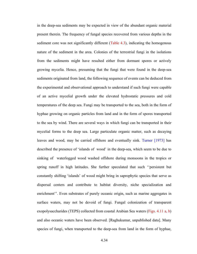in the deep-sea sediments may be expected in view of the abundant organic material present therein. The frequency of fungal species recovered from various depths in the sediment core was not significantly different (Table 4.3), indicating the homogenous nature of the sediment in the area. Colonies of the terrestrial fungi in the isolations from the sediments might have resulted either from dormant spores or actively growing mycelia. Hence, presuming that the fungi that were found in the deep-sea sediments originated from land, the following sequence of events can be deduced from the experimental and observational approach to understand if such fungi were capable of an active mycelial growth under the elevated hydrostatic pressures and cold temperatures of the deep sea. Fungi may be transported to the sea, both in the form of hyphae growing on organic particles from land and in the form of spores transported to the sea by wind. There are several ways in which fungi can be transported in their mycelial forms to the deep sea. Large particulate organic matter, such as decaying leaves and wood, may be carried offshore and eventually sink. Turner [1973] has described the presence of 'islands of wood' in the deep-sea, which seem to be due to sinking of waterlogged wood washed offshore during monsoons in the tropics or spring runoff in high latitudes. She further speculated that such ''persistent but constantly shifting 'islands' of wood might bring in saprophytic species that serve as dispersal centers and contribute to habitat diversity, niche specialization and enrichment''. Even substrates of purely oceanic origin, such as marine aggregates in surface waters, may not be devoid of fungi. Fungal colonization of transparent exopolysaccharides (TEPS) collected from coastal Arabian Sea waters (Figs. 4.11 a, b) and also oceanic waters have been observed. [Raghukumar, unpublished data]. Many species of fungi, when transported to the deep-sea from land in the form of hyphae,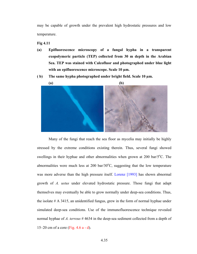may be capable of growth under the prevalent high hydrostatic pressures and low temperature.

**Fig 4.11** 

- **(a) Epifluorescence microscopy of a fungal hypha in a transparent exopolymeric particle (TEP) collected from 30 m depth in the Arabian Sea. TEP was stained with Calcofluor and photographed under blue light with an epifluorescence microscope. Scale 10 µm.**
- **( b) The same hypha photographed under bright field. Scale 10 µm.**



Many of the fungi that reach the sea floor as mycelia may initially be highly stressed by the extreme conditions existing therein. Thus, several fungi showed swellings in their hyphae and other abnormalities when grown at  $200$  bar/ $5^{\circ}$ C. The abnormalities were much less at  $200 \text{ bar}/30^{\circ}\text{C}$ , suggesting that the low temperature was more adverse than the high pressure itself. Lorenz [1993] has shown abnormal growth of *A. ustus* under elevated hydrostatic pressure. Those fungi that adapt themselves may eventually be able to grow normally under deep-sea conditions. Thus, the isolate # A 3415, an unidentified fungus, grew in the form of normal hyphae under simulated deep-sea conditions. Use of the immunofluorescence technique revealed normal hyphae of *A. terreus* # 4634 in the deep-sea sediment collected from a depth of 15–20 cm of a core (Fig. 4.6 a - d).